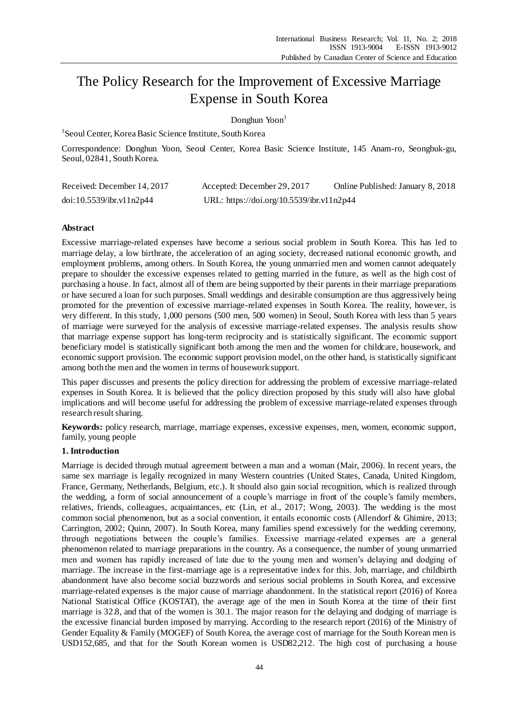# The Policy Research for the Improvement of Excessive Marriage Expense in South Korea

Donghun Yoon<sup>1</sup>

1 Seoul Center, Korea Basic Science Institute, South Korea

Correspondence: Donghun Yoon, Seoul Center, Korea Basic Science Institute, 145 Anam-ro, Seongbuk-gu, Seoul, 02841, South Korea.

| Received: December 14, 2017 | Accepted: December 29, 2017               | Online Published: January 8, 2018 |
|-----------------------------|-------------------------------------------|-----------------------------------|
| doi:10.5539/ibr.v11n2p44    | URL: https://doi.org/10.5539/ibr.v11n2p44 |                                   |

# **Abstract**

Excessive marriage-related expenses have become a serious social problem in South Korea. This has led to marriage delay, a low birthrate, the acceleration of an aging society, decreased national economic growth, and employment problems, among others. In South Korea, the young unmarried men and women cannot adequately prepare to shoulder the excessive expenses related to getting married in the future, as well as the high cost of purchasing a house. In fact, almost all of them are being supported by their parents in their marriage preparations or have secured a loan for such purposes. Small weddings and desirable consumption are thus aggressively being promoted for the prevention of excessive marriage-related expenses in South Korea. The reality, however, is very different. In this study, 1,000 persons (500 men, 500 women) in Seoul, South Korea with less than 5 years of marriage were surveyed for the analysis of excessive marriage-related expenses. The analysis results show that marriage expense support has long-term reciprocity and is statistically significant. The economic support beneficiary model is statistically significant both among the men and the women for childcare, housework, and economic support provision. The economic support provision model, on the other hand, is statistically significant among both the men and the women in terms of housework support.

This paper discusses and presents the policy direction for addressing the problem of excessive marriage-related expenses in South Korea. It is believed that the policy direction proposed by this study will also have global implications and will become useful for addressing the problem of excessive marriage-related expenses through research result sharing.

**Keywords:** policy research, marriage, marriage expenses, excessive expenses, men, women, economic support, family, young people

# **1. Introduction**

Marriage is decided through mutual agreement between a man and a woman (Mair, 2006). In recent years, the same sex marriage is legally recognized in many Western countries (United States, Canada, United Kingdom, France, Germany, Netherlands, Belgium, etc.). It should also gain social recognition, which is realized through the wedding, a form of social announcement of a couple's marriage in front of the couple's family members, relatives, friends, colleagues, acquaintances, etc (Lin, et al., 2017; Wong, 2003). The wedding is the most common social phenomenon, but as a social convention, it entails economic costs (Allendorf & Ghimire, 2013; Carrington, 2002; Quinn, 2007). In South Korea, many families spend excessively for the wedding ceremony, through negotiations between the couple's families. Excessive marriage-related expenses are a general phenomenon related to marriage preparations in the country. As a consequence, the number of young unmarried men and women has rapidly increased of late due to the young men and women's delaying and dodging of marriage. The increase in the first-marriage age is a representative index for this. Job, marriage, and childbirth abandonment have also become social buzzwords and serious social problems in South Korea, and excessive marriage-related expenses is the major cause of marriage abandonment. In the statistical report (2016) of Korea National Statistical Office (KOSTAT), the average age of the men in South Korea at the time of their first marriage is 32.8, and that of the women is 30.1. The major reason for the delaying and dodging of marriage is the excessive financial burden imposed by marrying. According to the research report (2016) of the Ministry of Gender Equality & Family (MOGEF) of South Korea, the average cost of marriage for the South Korean men is USD152,685, and that for the South Korean women is USD82,212. The high cost of purchasing a house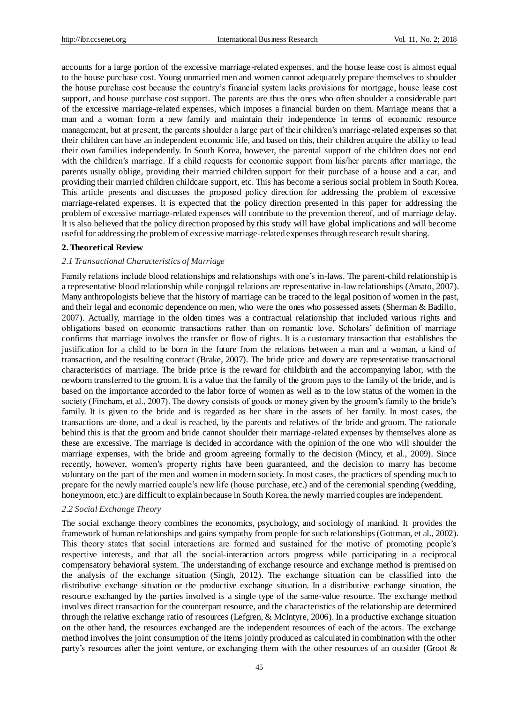accounts for a large portion of the excessive marriage-related expenses, and the house lease cost is almost equal to the house purchase cost. Young unmarried men and women cannot adequately prepare themselves to shoulder the house purchase cost because the country's financial system lacks provisions for mortgage, house lease cost support, and house purchase cost support. The parents are thus the ones who often shoulder a considerable part of the excessive marriage-related expenses, which imposes a financial burden on them. Marriage means that a man and a woman form a new family and maintain their independence in terms of economic resource management, but at present, the parents shoulder a large part of their children's marriage-related expenses so that their children can have an independent economic life, and based on this, their children acquire the ability to lead their own families independently. In South Korea, however, the parental support of the children does not end with the children's marriage. If a child requests for economic support from his/her parents after marriage, the parents usually oblige, providing their married children support for their purchase of a house and a car, and providing their married children childcare support, etc. This has become a serious social problem in South Korea. This article presents and discusses the proposed policy direction for addressing the problem of excessive marriage-related expenses. It is expected that the policy direction presented in this paper for addressing the problem of excessive marriage-related expenses will contribute to the prevention thereof, and of marriage delay. It is also believed that the policy direction proposed by this study will have global implications and will become useful for addressing the problem of excessive marriage-related expenses through research result sharing.

# **2. Theoretical Review**

# *2.1 Transactional Characteristics of Marriage*

Family relations include blood relationships and relationships with one's in-laws. The parent-child relationship is a representative blood relationship while conjugal relations are representative in-law relationships (Amato, 2007). Many anthropologists believe that the history of marriage can be traced to the legal position of women in the past, and their legal and economic dependence on men, who were the ones who possessed assets (Sherman & Badillo, 2007). Actually, marriage in the olden times was a contractual relationship that included various rights and obligations based on economic transactions rather than on romantic love. Scholars' definition of marriage confirms that marriage involves the transfer or flow of rights. It is a customary transaction that establishes the justification for a child to be born in the future from the relations between a man and a woman, a kind of transaction, and the resulting contract (Brake, 2007). The bride price and dowry are representative transactional characteristics of marriage. The bride price is the reward for childbirth and the accompanying labor, with the newborn transferred to the groom. It is a value that the family of the groom pays to the family of the bride, and is based on the importance accorded to the labor force of women as well as to the low status of the women in the society (Fincham, et al., 2007). The dowry consists of goods or money given by the groom's family to the bride's family. It is given to the bride and is regarded as her share in the assets of her family. In most cases, the transactions are done, and a deal is reached, by the parents and relatives of the bride and groom. The rationale behind this is that the groom and bride cannot shoulder their marriage-related expenses by themselves alone as these are excessive. The marriage is decided in accordance with the opinion of the one who will shoulder the marriage expenses, with the bride and groom agreeing formally to the decision (Mincy, et al., 2009). Since recently, however, women's property rights have been guaranteed, and the decision to marry has become voluntary on the part of the men and women in modern society. In most cases, the practices of spending much to prepare for the newly married couple's new life (house purchase, etc.) and of the ceremonial spending (wedding, honeymoon, etc.) are difficult to explain because in South Korea, the newly married couples are independent.

## *2.2 Social Exchange Theory*

The social exchange theory combines the economics, psychology, and sociology of mankind. It provides the framework of human relationships and gains sympathy from people for such relationships (Gottman, et al., 2002). This theory states that social interactions are formed and sustained for the motive of promoting people's respective interests, and that all the social-interaction actors progress while participating in a reciprocal compensatory behavioral system. The understanding of exchange resource and exchange method is premised on the analysis of the exchange situation (Singh, 2012). The exchange situation can be classified into the distributive exchange situation or the productive exchange situation. In a distributive exchange situation, the resource exchanged by the parties involved is a single type of the same-value resource. The exchange method involves direct transaction for the counterpart resource, and the characteristics of the relationship are determined through the relative exchange ratio of resources (Lefgren, & McIntyre, 2006). In a productive exchange situation on the other hand, the resources exchanged are the independent resources of each of the actors. The exchange method involves the joint consumption of the items jointly produced as calculated in combination with the other party's resources after the joint venture, or exchanging them with the other resources of an outsider (Groot &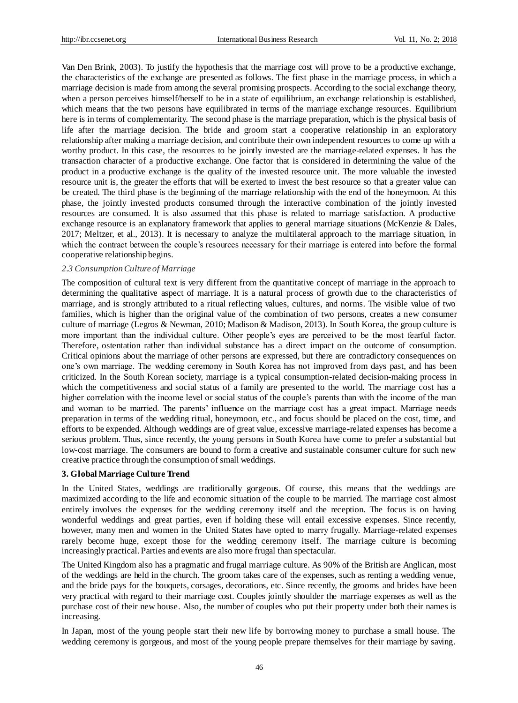Van Den Brink, 2003). To justify the hypothesis that the marriage cost will prove to be a productive exchange, the characteristics of the exchange are presented as follows. The first phase in the marriage process, in which a marriage decision is made from among the several promising prospects. According to the social exchange theory, when a person perceives himself/herself to be in a state of equilibrium, an exchange relationship is established, which means that the two persons have equilibrated in terms of the marriage exchange resources. Equilibrium here is in terms of complementarity. The second phase is the marriage preparation, which is the physical basis of life after the marriage decision. The bride and groom start a cooperative relationship in an exploratory relationship after making a marriage decision, and contribute their own independent resources to come up with a worthy product. In this case, the resources to be jointly invested are the marriage-related expenses. It has the transaction character of a productive exchange. One factor that is considered in determining the value of the product in a productive exchange is the quality of the invested resource unit. The more valuable the invested resource unit is, the greater the efforts that will be exerted to invest the best resource so that a greater value can be created. The third phase is the beginning of the marriage relationship with the end of the honeymoon. At this phase, the jointly invested products consumed through the interactive combination of the jointly invested resources are consumed. It is also assumed that this phase is related to marriage satisfaction. A productive exchange resource is an explanatory framework that applies to general marriage situations (McKenzie & Dales, 2017; Meltzer, et al., 2013). It is necessary to analyze the multilateral approach to the marriage situation, in which the contract between the couple's resources necessary for their marriage is entered into before the formal cooperative relationship begins.

## *2.3 Consumption Culture of Marriage*

The composition of cultural text is very different from the quantitative concept of marriage in the approach to determining the qualitative aspect of marriage. It is a natural process of growth due to the characteristics of marriage, and is strongly attributed to a ritual reflecting values, cultures, and norms. The visible value of two families, which is higher than the original value of the combination of two persons, creates a new consumer culture of marriage (Legros & Newman, 2010; Madison & Madison, 2013). In South Korea, the group culture is more important than the individual culture. Other people's eyes are perceived to be the most fearful factor. Therefore, ostentation rather than individual substance has a direct impact on the outcome of consumption. Critical opinions about the marriage of other persons are expressed, but there are contradictory consequences on one's own marriage. The wedding ceremony in South Korea has not improved from days past, and has been criticized. In the South Korean society, marriage is a typical consumption-related decision-making process in which the competitiveness and social status of a family are presented to the world. The marriage cost has a higher correlation with the income level or social status of the couple's parents than with the income of the man and woman to be married. The parents' influence on the marriage cost has a great impact. Marriage needs preparation in terms of the wedding ritual, honeymoon, etc., and focus should be placed on the cost, time, and efforts to be expended. Although weddings are of great value, excessive marriage-related expenses has become a serious problem. Thus, since recently, the young persons in South Korea have come to prefer a substantial but low-cost marriage. The consumers are bound to form a creative and sustainable consumer culture for such new creative practice through the consumption of small weddings.

## **3. Global Marriage Culture Trend**

In the United States, weddings are traditionally gorgeous. Of course, this means that the weddings are maximized according to the life and economic situation of the couple to be married. The marriage cost almost entirely involves the expenses for the wedding ceremony itself and the reception. The focus is on having wonderful weddings and great parties, even if holding these will entail excessive expenses. Since recently, however, many men and women in the United States have opted to marry frugally. Marriage-related expenses rarely become huge, except those for the wedding ceremony itself. The marriage culture is becoming increasingly practical. Parties and events are also more frugal than spectacular.

The United Kingdom also has a pragmatic and frugal marriage culture. As 90% of the British are Anglican, most of the weddings are held in the church. The groom takes care of the expenses, such as renting a wedding venue, and the bride pays for the bouquets, corsages, decorations, etc. Since recently, the grooms and brides have been very practical with regard to their marriage cost. Couples jointly shoulder the marriage expenses as well as the purchase cost of their new house. Also, the number of couples who put their property under both their names is increasing.

In Japan, most of the young people start their new life by borrowing money to purchase a small house. The wedding ceremony is gorgeous, and most of the young people prepare themselves for their marriage by saving.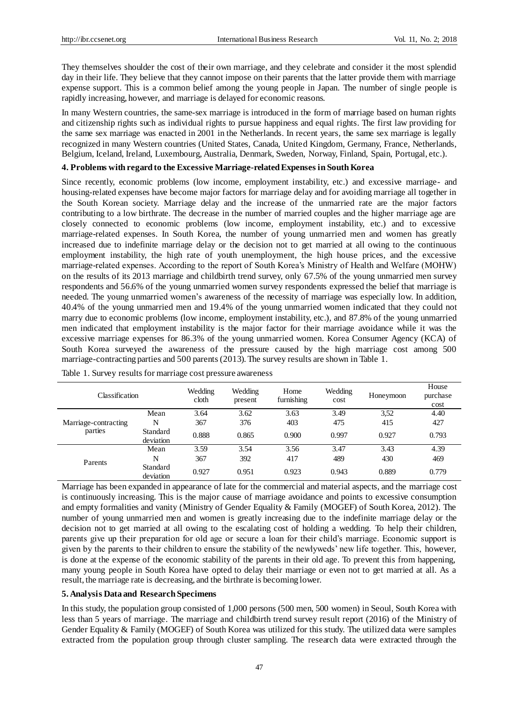They themselves shoulder the cost of their own marriage, and they celebrate and consider it the most splendid day in their life. They believe that they cannot impose on their parents that the latter provide them with marriage expense support. This is a common belief among the young people in Japan. The number of single people is rapidly increasing, however, and marriage is delayed for economic reasons.

In many Western countries, the same-sex marriage is introduced in the form of marriage based on human rights and citizenship rights such as individual rights to pursue happiness and equal rights. The first law providing for the same sex marriage was enacted in 2001 in the Netherlands. In recent years, the same sex marriage is legally recognized in many Western countries (United States, Canada, United Kingdom, Germany, France, Netherlands, Belgium, Iceland, Ireland, Luxembourg, Australia, Denmark, Sweden, Norway, Finland, Spain, Portugal, etc.).

## **4. Problems with regard to the Excessive Marriage-related Expenses in South Korea**

Since recently, economic problems (low income, employment instability, etc.) and excessive marriage- and housing-related expenses have become major factors for marriage delay and for avoiding marriage all together in the South Korean society. Marriage delay and the increase of the unmarried rate are the major factors contributing to a low birthrate. The decrease in the number of married couples and the higher marriage age are closely connected to economic problems (low income, employment instability, etc.) and to excessive marriage-related expenses. In South Korea, the number of young unmarried men and women has greatly increased due to indefinite marriage delay or the decision not to get married at all owing to the continuous employment instability, the high rate of youth unemployment, the high house prices, and the excessive marriage-related expenses. According to the report of South Korea's Ministry of Health and Welfare (MOHW) on the results of its 2013 marriage and childbirth trend survey, only 67.5% of the young unmarried men survey respondents and 56.6% of the young unmarried women survey respondents expressed the belief that marriage is needed. The young unmarried women's awareness of the necessity of marriage was especially low. In addition, 40.4% of the young unmarried men and 19.4% of the young unmarried women indicated that they could not marry due to economic problems (low income, employment instability, etc.), and 87.8% of the young unmarried men indicated that employment instability is the major factor for their marriage avoidance while it was the excessive marriage expenses for 86.3% of the young unmarried women. Korea Consumer Agency (KCA) of South Korea surveyed the awareness of the pressure caused by the high marriage cost among 500 marriage-contracting parties and 500 parents (2013). The survey results are shown in Table 1.

| Classification                  |                       | Wedding<br>cloth | Wedding<br>present | Home<br>furnishing | Wedding<br>cost | Honeymoon | House<br>purchase<br>cost |
|---------------------------------|-----------------------|------------------|--------------------|--------------------|-----------------|-----------|---------------------------|
|                                 | Mean                  | 3.64             | 3.62               | 3.63               | 3.49            | 3.52      | 4.40                      |
| Marriage-contracting<br>parties | N                     | 367              | 376                | 403                | 475             | 415       | 427                       |
|                                 | Standard<br>deviation | 0.888            | 0.865              | 0.900              | 0.997           | 0.927     | 0.793                     |
|                                 | Mean                  | 3.59             | 3.54               | 3.56               | 3.47            | 3.43      | 4.39                      |
| Parents                         | N                     | 367              | 392                | 417                | 489             | 430       | 469                       |
|                                 | Standard<br>deviation | 0.927            | 0.951              | 0.923              | 0.943           | 0.889     | 0.779                     |

|  |  | Table 1. Survey results for marriage cost pressure awareness |  |
|--|--|--------------------------------------------------------------|--|
|  |  |                                                              |  |
|  |  |                                                              |  |

Marriage has been expanded in appearance of late for the commercial and material aspects, and the marriage cost is continuously increasing. This is the major cause of marriage avoidance and points to excessive consumption and empty formalities and vanity (Ministry of Gender Equality & Family (MOGEF) of South Korea, 2012). The number of young unmarried men and women is greatly increasing due to the indefinite marriage delay or the decision not to get married at all owing to the escalating cost of holding a wedding. To help their children, parents give up their preparation for old age or secure a loan for their child's marriage. Economic support is given by the parents to their children to ensure the stability of the newlyweds' new life together. This, however, is done at the expense of the economic stability of the parents in their old age. To prevent this from happening, many young people in South Korea have opted to delay their marriage or even not to get married at all. As a result, the marriage rate is decreasing, and the birthrate is becoming lower.

# **5. Analysis Data and Research Specimens**

In this study, the population group consisted of 1,000 persons (500 men, 500 women) in Seoul, South Korea with less than 5 years of marriage. The marriage and childbirth trend survey result report (2016) of the Ministry of Gender Equality & Family (MOGEF) of South Korea was utilized for this study. The utilized data were samples extracted from the population group through cluster sampling. The research data were extracted through the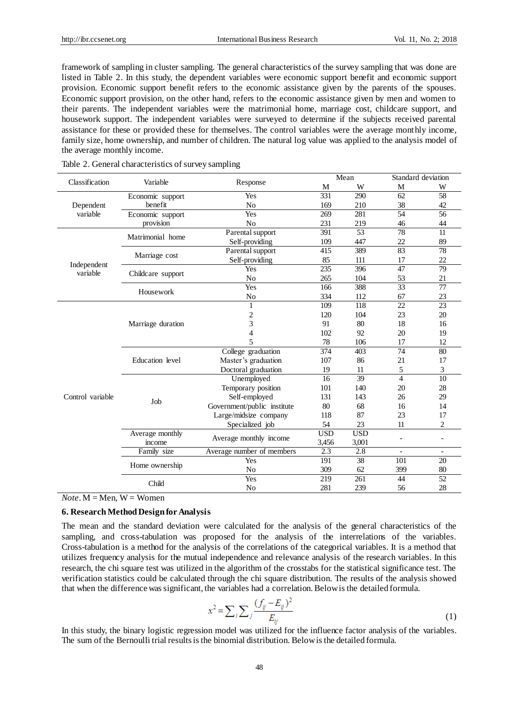framework of sampling in cluster sampling. The general characteristics of the survey sampling that was done are listed in Table 2. In this study, the dependent variables were economic support benefit and economic support provision. Economic support benefit refers to the economic assistance given by the parents of the spouses. Economic support provision, on the other hand, refers to the economic assistance given by men and women to their parents. The independent variables were the matrimonial home, marriage cost, childcare support, and housework support. The independent variables were surveyed to determine if the subjects received parental assistance for these or provided these for themselves. The control variables were the average monthly income, family size, home ownership, and number of children. The natural log value was applied to the analysis model of the average monthly income.

| Classification          | Variable          | Response                    |                  | Mean            | Standard deviation       |                          |
|-------------------------|-------------------|-----------------------------|------------------|-----------------|--------------------------|--------------------------|
|                         |                   |                             | M                | W               | M                        | W                        |
|                         | Economic support  | Yes                         | 331              | 290             | 62                       | 58                       |
| Dependent<br>variable   | benefit           | N <sub>o</sub>              | 169              | 210             | 38                       | 42                       |
|                         | Economic support  | Yes                         | 269              | 281             | $\overline{54}$          | 56                       |
|                         | provision         | N <sub>o</sub>              | 231              | 219             | 46                       | 44                       |
|                         | Matrimonial home  | Parental support            | 391              | 53              | 78                       | 11                       |
|                         |                   | Self-providing              | 109              | 447             | 22                       | 89                       |
|                         |                   | Parental support            | 415              | 389             | 83                       | 78                       |
|                         | Marriage cost     | Self-providing              | 85               | 111             | 17                       | 22                       |
| Independent<br>variable |                   | Yes                         | 235              | 396             | 47                       | 79                       |
|                         | Childcare support | N <sub>o</sub>              | 265              | 104             | 53                       | 21                       |
|                         |                   | Yes                         | 166              | 388             | 33                       | 77                       |
|                         | Housework         | No                          | 334              | 112             | 67                       | 23                       |
|                         |                   | $\mathbf{1}$                | 109              | 118             | 22                       | 23                       |
|                         | Marriage duration | $\overline{c}$              | 120              | 104             | 23                       | 20                       |
|                         |                   | 3                           | 91               | 80              | 18                       | 16                       |
|                         |                   | 4                           | 102              | 92              | 20                       | 19                       |
|                         |                   | 5                           | 78               | 106             | 17                       | 12                       |
|                         |                   | College graduation          | 374              | 403             | 74                       | 80                       |
|                         | Education level   | Master's graduation         | 107              | 86              | 21                       | 17                       |
|                         |                   | Doctoral graduation         | 19               | 11              | 5                        | 3                        |
|                         |                   | Unemployed                  | $\overline{16}$  | $\overline{39}$ | $\overline{4}$           | 10                       |
|                         |                   | Temporary position          | 101              | 140             | 20                       | 28                       |
| Control variable        |                   | Self-employed               | 131              | 143             | 26                       | 29                       |
|                         | Job               | Government/public institute | 80               | 68              | 16                       | 14                       |
|                         |                   | Large/midsize company       | 118              | 87              | 23                       | 17                       |
|                         |                   | Specialized job             | 54               | 23              | 11                       | $\overline{c}$           |
|                         | Average monthly   |                             | <b>USD</b>       | <b>USD</b>      |                          |                          |
|                         | income            | Average monthly income      | 3,456            | 3,001           |                          | $\qquad \qquad -$        |
|                         | Family size       | Average number of members   | $\overline{2.3}$ | 2.8             | $\overline{\phantom{a}}$ | $\overline{\phantom{a}}$ |
|                         |                   | Yes                         | 191              | 38              | 101                      | 20                       |
|                         | Home ownership    | N <sub>o</sub>              | 309              | 62              | 399                      | 80                       |
|                         |                   | Yes                         | 219              | 261             | 44                       | $\overline{52}$          |
|                         | Child             | N <sub>o</sub>              | 281              | 239             | 56                       | 28                       |
| $\sim$                  | $\mathbf{v}$      |                             |                  |                 |                          |                          |

Table 2. General characteristics of survey sampling

 $Note. M = Men, W = Women$ 

## **6. Research Method Design for Analysis**

The mean and the standard deviation were calculated for the analysis of the general characteristics of the sampling, and cross-tabulation was proposed for the analysis of the interrelations of the variables. Cross-tabulation is a method for the analysis of the correlations of the categorical variables. It is a method that utilizes frequency analysis for the mutual independence and relevance analysis of the research variables. In this research, the chi square test was utilized in the algorithm of the crosstabs for the statistical significance test. The verification statistics could be calculated through the chi square distribution. The results of the analysis showed that when the difference was significant, the variables had a correlation. Below is the detailed formula.

$$
x^{2} = \sum_{i} \sum_{j} \frac{(f_{ij} - E_{ij})^{2}}{E_{ij}}
$$
 (1)

In this study, the binary logistic regression model was utilized for the influence factor analysis of the variables. The sum of the Bernoulli trial results is the binomial distribution. Below is the detailed formula.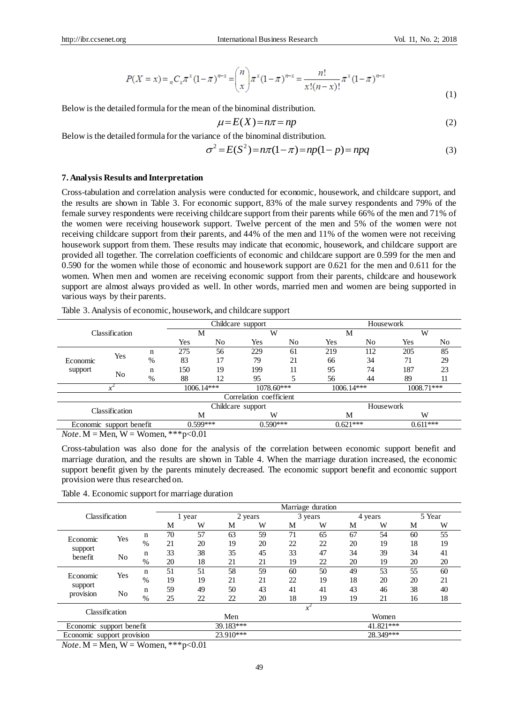$$
P(X = x) = {}_{n}C_{x}\pi^{x}(1-\pi)^{n-x} = \binom{n}{x}\pi^{x}(1-\pi)^{n-x} = \frac{n!}{x!(n-x)!}\pi^{x}(1-\pi)^{n-x}
$$
\n(1)

Below is the detailed formula for the mean of the binominal distribution.

$$
\mu = E(X) = n\pi = np \tag{2}
$$

Below is the detailed formula for the variance of the binominal distribution.<br>  $\sigma^2 = E(S^2) = n\pi(1-\pi) = np(1-p) = npq$ 

$$
\sigma^2 = E(S^2) = n\pi(1 - \pi) = np(1 - p) = npq \tag{3}
$$

## **7. Analysis Results and Interpretation**

Cross-tabulation and correlation analysis were conducted for economic, housework, and childcare support, and the results are shown in Table 3. For economic support, 83% of the male survey respondents and 79% of the female survey respondents were receiving childcare support from their parents while 66% of the men and 71% of the women were receiving housework support. Twelve percent of the men and 5% of the women were not receiving childcare support from their parents, and 44% of the men and 11% of the women were not receiving housework support from them. These results may indicate that economic, housework, and childcare support are provided all together. The correlation coefficients of economic and childcare support are 0.599 for the men and 0.590 for the women while those of economic and housework support are 0.621 for the men and 0.611 for the women. When men and women are receiving economic support from their parents, childcare and housework support are almost always provided as well. In other words, married men and women are being supported in various ways by their parents.

|                             |     |                   |         |            | Childcare support       |            | Housework |            |     |    |  |
|-----------------------------|-----|-------------------|---------|------------|-------------------------|------------|-----------|------------|-----|----|--|
| Classification              |     |                   | М       |            |                         | W          |           | М          |     | W  |  |
|                             |     |                   | Yes     | No         | Yes                     | No         | Yes       | No         | Yes | No |  |
|                             |     | n                 | 275     | 56         | 229                     | 61         | 219       | 112        | 205 | 85 |  |
| Economic                    | Yes | %                 | 83      | 17         | 79                      | 21         | 66        | 34         | 71  | 29 |  |
| support                     |     | n                 | 150     | 19         | 199                     | 11         | 95        | 74         | 187 | 23 |  |
|                             | No  | %                 | 88      | 12         | 95                      |            | 56        | 44         | 89  | 11 |  |
|                             |     | 1006.14***        |         | 1078.60*** |                         | 1006.14*** |           | 1008.71*** |     |    |  |
|                             |     |                   |         |            | Correlation coefficient |            |           |            |     |    |  |
| Classification              |     | Childcare support |         |            |                         | Housework  |           |            |     |    |  |
|                             |     | M                 |         | W          |                         | М          |           | W          |     |    |  |
| Economic support benefit    |     | $0.599***$        |         | $0.590***$ |                         | $0.621***$ |           | $0.611***$ |     |    |  |
| $M$ and $M$ and $M$ and $M$ |     |                   | 444.001 |            |                         |            |           |            |     |    |  |

Table 3. Analysis of economic, housework, and childcare support

*Note*.  $M = Men$ ,  $W = Women$ , \*\*\*p<0.01

Cross-tabulation was also done for the analysis of the correlation between economic support benefit and marriage duration, and the results are shown in Table 4. When the marriage duration increased, the economic support benefit given by the parents minutely decreased. The economic support benefit and economic support provision were thus researched on.

|                                                   |     |           |        |    |           |    |         | Marriage duration |         |           |        |    |
|---------------------------------------------------|-----|-----------|--------|----|-----------|----|---------|-------------------|---------|-----------|--------|----|
| Classification                                    |     |           | l year |    | 2 years   |    | 3 years |                   | 4 years |           | 5 Year |    |
|                                                   |     |           | М      | W  | М         | W  | М       | W                 | М       | W         | М      | W  |
| Yes<br>Economic<br>support<br>No<br>benefit       |     | n         | 70     | 57 | 63        | 59 | 71      | 65                | 67      | 54        | 60     | 55 |
|                                                   | %   | 21        | 20     | 19 | 20        | 22 | 22      | 20                | 19      | 18        | 19     |    |
|                                                   |     | n         | 33     | 38 | 35        | 45 | 33      | 47                | 34      | 39        | 34     | 41 |
|                                                   |     | $\%$      | 20     | 18 | 21        | 21 | 19      | 22                | 20      | 19        | 20     | 20 |
|                                                   |     | n         | 51     | 51 | 58        | 59 | 60      | 50                | 49      | 53        | 55     | 60 |
| Economic                                          | Yes | %         | 19     | 19 | 21        | 21 | 22      | 19                | 18      | 20        | 20     | 21 |
| support                                           |     | n         | 59     | 49 | 50        | 43 | 41      | 41                | 43      | 46        | 38     | 40 |
| provision                                         | No  | $\%$      | 25     | 22 | 22        | 20 | 18      | 19                | 19      | 21        | 16     | 18 |
|                                                   |     |           |        |    |           |    |         | $x^2$             |         |           |        |    |
| Classification                                    |     | Men       |        |    |           |    | Women   |                   |         |           |        |    |
| Economic support benefit                          |     | 39.183*** |        |    | 41.821*** |    |         |                   |         |           |        |    |
| Economic support provision                        |     |           |        |    | 23.910*** |    |         |                   |         | 28.349*** |        |    |
| <i>Note</i> . $M = Men$ , $W = Women$ , ***p<0.01 |     |           |        |    |           |    |         |                   |         |           |        |    |

Table 4. Economic support for marriage duration

*Note*.  $M = Men$ ,  $W = Women$ , \*\*\*p<0.01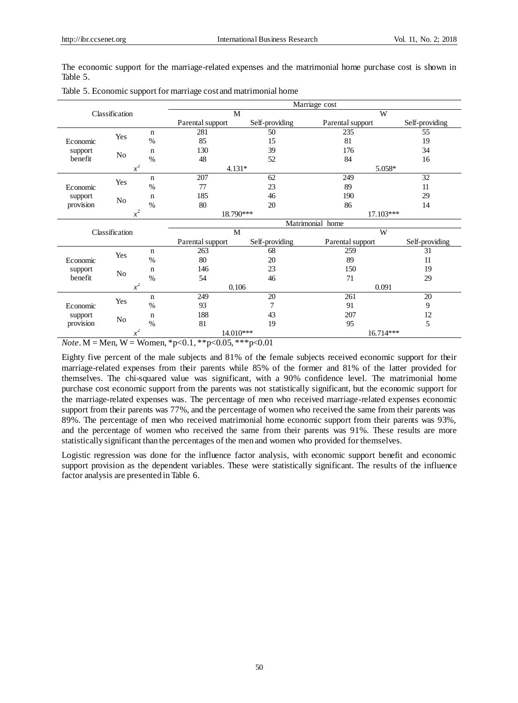The economic support for the marriage-related expenses and the matrimonial home purchase cost is shown in Table 5.

|                     |                |             | Marriage cost    |                  |                  |                |  |  |  |
|---------------------|----------------|-------------|------------------|------------------|------------------|----------------|--|--|--|
| Classification      |                | M           |                  | W                |                  |                |  |  |  |
|                     |                |             | Parental support | Self-providing   | Parental support | Self-providing |  |  |  |
|                     |                | $\mathbf n$ | 281              | 50               | 235              | 55             |  |  |  |
| Economic<br>support | Yes            | $\%$        | 85               | 15               | 81               | 19             |  |  |  |
|                     |                | n           | 130              | 39               | 176              | 34             |  |  |  |
| benefit             | N <sub>o</sub> | $\%$        | 48               | 52               | 84               | 16             |  |  |  |
|                     | $x^2$          |             | $4.131*$         |                  | 5.058*           |                |  |  |  |
|                     | Yes            | n           | 207              | 62               | 249              | 32             |  |  |  |
| Economic            |                | $\%$        | 77               | 23               | 89               | 11             |  |  |  |
| support             | N <sub>o</sub> | n           | 185              | 46               | 190              | 29             |  |  |  |
| provision           |                | $\%$        | 80               | 20               | 86               | 14             |  |  |  |
|                     | $x^2$          |             | 18.790***        |                  | 17.103***        |                |  |  |  |
|                     |                |             |                  | Matrimonial home |                  |                |  |  |  |
|                     | Classification |             | $\mathbf M$      |                  | W                |                |  |  |  |
|                     |                |             | Parental support | Self-providing   | Parental support | Self-providing |  |  |  |
|                     | Yes            | n           | 263              | 68               | 259              | 31             |  |  |  |
| Economic            |                | $\%$        | 80               | 20               | 89               | 11             |  |  |  |
| support             | N <sub>o</sub> | n           | 146              | 23               | 150              | 19             |  |  |  |
| benefit             |                | $\%$        | 54               | 46               | 71               | 29             |  |  |  |
|                     | $x^2$          |             | 0.106            |                  | 0.091            |                |  |  |  |
|                     | Yes            | n           | 249              | 20               | 261              | 20             |  |  |  |
| Economic            |                | $\%$        | 93               | 7                | 91               | 9              |  |  |  |
| support             | N <sub>o</sub> | n           | 188              | 43               | 207              | 12             |  |  |  |
| provision           |                | $\%$        | 81               | 19               | 95               | 5              |  |  |  |
|                     | $x^2$          |             | 14.010***        |                  | 16.714***        |                |  |  |  |

Table 5. Economic support for marriage cost and matrimonial home

*Note*.  $M =$  Men,  $W =$  Women,  $*_{p} < 0.1$ ,  $*_{p} < 0.05$ ,  $*_{p} < 0.01$ 

Eighty five percent of the male subjects and 81% of the female subjects received economic support for their marriage-related expenses from their parents while 85% of the former and 81% of the latter provided for themselves. The chi-squared value was significant, with a 90% confidence level. The matrimonial home purchase cost economic support from the parents was not statistically significant, but the economic support for the marriage-related expenses was. The percentage of men who received marriage-related expenses economic support from their parents was 77%, and the percentage of women who received the same from their parents was 89%. The percentage of men who received matrimonial home economic support from their parents was 93%, and the percentage of women who received the same from their parents was 91%. These results are more statistically significant than the percentages of the men and women who provided for themselves.

Logistic regression was done for the influence factor analysis, with economic support benefit and economic support provision as the dependent variables. These were statistically significant. The results of the influence factor analysis are presented in Table 6.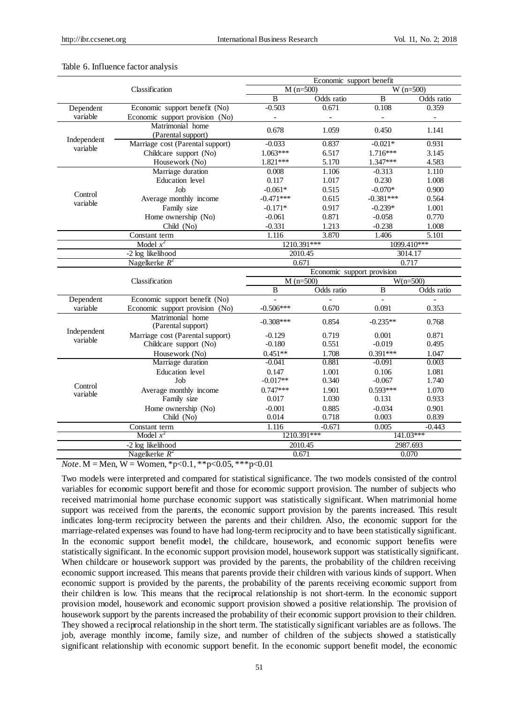|                         |                                        | Economic support benefit |                            |                          |            |  |
|-------------------------|----------------------------------------|--------------------------|----------------------------|--------------------------|------------|--|
|                         | Classification                         | $M(n=500)$               |                            | $W(n=500)$               |            |  |
|                         |                                        | $\overline{B}$           | Odds ratio                 | $\overline{B}$           | Odds ratio |  |
| Dependent               | Economic support benefit (No)          | $-0.503$                 | 0.671                      | 0.108                    | 0.359      |  |
| variable                | Economic support provision (No)        |                          |                            |                          |            |  |
|                         | Matrimonial home<br>(Parental support) | 0.678                    | 1.059                      | 0.450                    | 1.141      |  |
| Independent             | Marriage cost (Parental support)       | $-0.033$                 | 0.837                      | $-0.021*$                | 0.931      |  |
| variable                | Childcare support (No)                 | $1.063***$               | 6.517                      | 1.716***                 | 3.145      |  |
|                         | Housework (No)                         | 1.821***                 | 5.170                      | $1.347***$               | 4.583      |  |
|                         | Marriage duration                      | 0.008                    | 1.106                      | $-0.313$                 | 1.110      |  |
|                         | Education level                        | 0.117                    | 1.017                      | 0.230                    | 1.008      |  |
|                         | Job                                    | $-0.061*$                | 0.515                      | $-0.070*$                | 0.900      |  |
| Control                 | Average monthly income                 | $-0.471***$              | 0.615                      | $-0.381***$              | 0.564      |  |
| variable                | Family size                            | $-0.171*$                | 0.917                      | $-0.239*$                | 1.001      |  |
|                         | Home ownership (No)                    | $-0.061$                 | 0.871                      | $-0.058$                 | 0.770      |  |
|                         | Child (No)                             | $-0.331$                 | 1.213                      | $-0.238$                 | 1.008      |  |
|                         | Constant term                          | 1.116                    | 3.870                      | 1.406                    | 5.101      |  |
|                         | Model $x^2$                            | 1210.391***              |                            | 1099.410***              |            |  |
|                         | -2 log likelihood                      |                          | 2010.45                    | 3014.17                  |            |  |
|                         | Nagelkerke $R^2$                       | 0.671                    |                            | 0.717                    |            |  |
|                         |                                        |                          | Economic support provision |                          |            |  |
|                         | Classification                         | $M(n=500)$               |                            | $W(n=500)$               |            |  |
|                         |                                        | $\overline{B}$           | Odds ratio                 | $\overline{B}$           | Odds ratio |  |
| Dependent               | Economic support benefit (No)          |                          |                            | $\overline{\phantom{a}}$ |            |  |
| variable                | Economic support provision (No)        | $-0.506***$              | 0.670                      | 0.091                    | 0.353      |  |
|                         | Matrimonial home<br>(Parental support) | $-0.308***$              | 0.854                      | $-0.235**$               | 0.768      |  |
| Independent<br>variable | Marriage cost (Parental support)       | $-0.129$                 | 0.719                      | 0.001                    | 0.871      |  |
|                         | Childcare support (No)                 | $-0.180$                 | 0.551                      | $-0.019$                 | 0.495      |  |
|                         | Housework (No)                         | $0.451**$                | 1.708                      | $0.391***$               | 1.047      |  |
|                         | Marriage duration                      | $-0.041$                 | 0.881                      | $-0.091$                 | 0.003      |  |
|                         | Education level                        | 0.147                    | 1.001                      | 0.106                    | 1.081      |  |
|                         | Job                                    | $-0.017**$               | 0.340                      | $-0.067$                 | 1.740      |  |
| Control<br>variable     | Average monthly income                 | $0.747***$               | 1.901                      | $0.593***$               | 1.070      |  |
|                         | Family size                            | 0.017                    | 1.030                      | 0.131                    | 0.933      |  |
|                         | Home ownership (No)                    | $-0.001$                 | 0.885                      | $-0.034$                 | 0.901      |  |
|                         | Child (No)                             | 0.014                    | 0.718                      | 0.003                    | 0.839      |  |
|                         | Constant term                          | 1.116                    | $-0.671$                   | 0.005                    | $-0.443$   |  |
|                         | Model $x^2$                            | 1210.391***              |                            |                          | 141.03***  |  |
|                         | -2 log likelihood                      |                          | 2010.45                    | 2987.693                 |            |  |
|                         |                                        |                          |                            |                          |            |  |

## Table 6. Influence factor analysis

*Note*. M = Men, W = Women,  $*_{p<0.1}$ ,  $*_{p<0.05}$ ,  $*_{p<0.01}$ 

Two models were interpreted and compared for statistical significance. The two models consisted of the control variables for economic support benefit and those for economic support provision. The number of subjects who received matrimonial home purchase economic support was statistically significant. When matrimonial home support was received from the parents, the economic support provision by the parents increased. This result indicates long-term reciprocity between the parents and their children. Also, the economic support for the marriage-related expenses was found to have had long-term reciprocity and to have been statistically significant. In the economic support benefit model, the childcare, housework, and economic support benefits were statistically significant. In the economic support provision model, housework support was statistically significant. When childcare or housework support was provided by the parents, the probability of the children receiving economic support increased. This means that parents provide their children with various kinds of support. When economic support is provided by the parents, the probability of the parents receiving economic support from their children is low. This means that the reciprocal relationship is not short-term. In the economic support provision model, housework and economic support provision showed a positive relationship. The provision of housework support by the parents increased the probability of their economic support provision to their children. They showed a reciprocal relationship in the short term. The statistically significant variables are as follows. The job, average monthly income, family size, and number of children of the subjects showed a statistically significant relationship with economic support benefit. In the economic support benefit model, the economic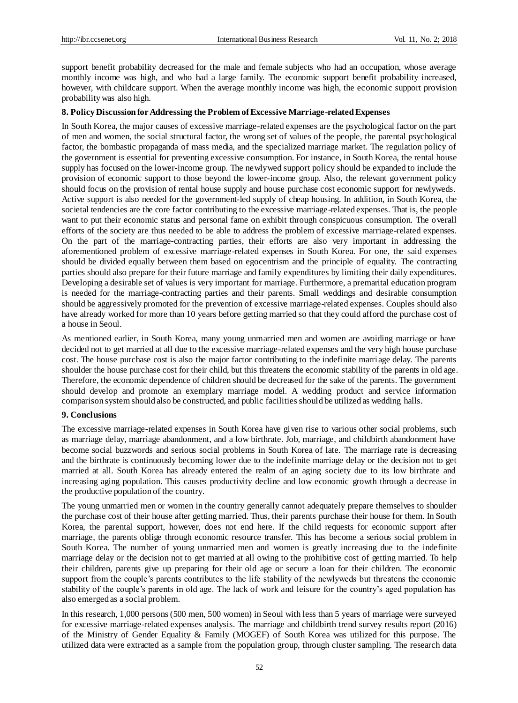support benefit probability decreased for the male and female subjects who had an occupation, whose average monthly income was high, and who had a large family. The economic support benefit probability increased, however, with childcare support. When the average monthly income was high, the economic support provision probability was also high.

## **8. Policy Discussion for Addressing the Problem of Excessive Marriage-related Expenses**

In South Korea, the major causes of excessive marriage-related expenses are the psychological factor on the part of men and women, the social structural factor, the wrong set of values of the people, the parental psychological factor, the bombastic propaganda of mass media, and the specialized marriage market. The regulation policy of the government is essential for preventing excessive consumption. For instance, in South Korea, the rental house supply has focused on the lower-income group. The newlywed support policy should be expanded to include the provision of economic support to those beyond the lower-income group. Also, the relevant government policy should focus on the provision of rental house supply and house purchase cost economic support for newlyweds. Active support is also needed for the government-led supply of cheap housing. In addition, in South Korea, the societal tendencies are the core factor contributing to the excessive marriage-related expenses. That is, the people want to put their economic status and personal fame on exhibit through conspicuous consumption. The overall efforts of the society are thus needed to be able to address the problem of excessive marriage-related expenses. On the part of the marriage-contracting parties, their efforts are also very important in addressing the aforementioned problem of excessive marriage-related expenses in South Korea. For one, the said expenses should be divided equally between them based on egocentrism and the principle of equality. The contracting parties should also prepare for their future marriage and family expenditures by limiting their daily expenditures. Developing a desirable set of values is very important for marriage. Furthermore, a premarital education program is needed for the marriage-contracting parties and their parents. Small weddings and desirable consumption should be aggressively promoted for the prevention of excessive marriage-related expenses. Couples should also have already worked for more than 10 years before getting married so that they could afford the purchase cost of a house in Seoul.

As mentioned earlier, in South Korea, many young unmarried men and women are avoiding marriage or have decided not to get married at all due to the excessive marriage-related expenses and the very high house purchase cost. The house purchase cost is also the major factor contributing to the indefinite marriage delay. The parents shoulder the house purchase cost for their child, but this threatens the economic stability of the parents in old age. Therefore, the economic dependence of children should be decreased for the sake of the parents. The government should develop and promote an exemplary marriage model. A wedding product and service information comparison system should also be constructed, and public facilities should be utilized as wedding halls.

## **9. Conclusions**

The excessive marriage-related expenses in South Korea have given rise to various other social problems, such as marriage delay, marriage abandonment, and a low birthrate. Job, marriage, and childbirth abandonment have become social buzzwords and serious social problems in South Korea of late. The marriage rate is decreasing and the birthrate is continuously becoming lower due to the indefinite marriage delay or the decision not to get married at all. South Korea has already entered the realm of an aging society due to its low birthrate and increasing aging population. This causes productivity decline and low economic growth through a decrease in the productive population of the country.

The young unmarried men or women in the country generally cannot adequately prepare themselves to shoulder the purchase cost of their house after getting married. Thus, their parents purchase their house for them. In South Korea, the parental support, however, does not end here. If the child requests for economic support after marriage, the parents oblige through economic resource transfer. This has become a serious social problem in South Korea. The number of young unmarried men and women is greatly increasing due to the indefinite marriage delay or the decision not to get married at all owing to the prohibitive cost of getting married. To help their children, parents give up preparing for their old age or secure a loan for their children. The economic support from the couple's parents contributes to the life stability of the newlyweds but threatens the economic stability of the couple's parents in old age. The lack of work and leisure for the country's aged population has also emerged as a social problem.

In this research, 1,000 persons (500 men, 500 women) in Seoul with less than 5 years of marriage were surveyed for excessive marriage-related expenses analysis. The marriage and childbirth trend survey results report (2016) of the Ministry of Gender Equality & Family (MOGEF) of South Korea was utilized for this purpose. The utilized data were extracted as a sample from the population group, through cluster sampling. The research data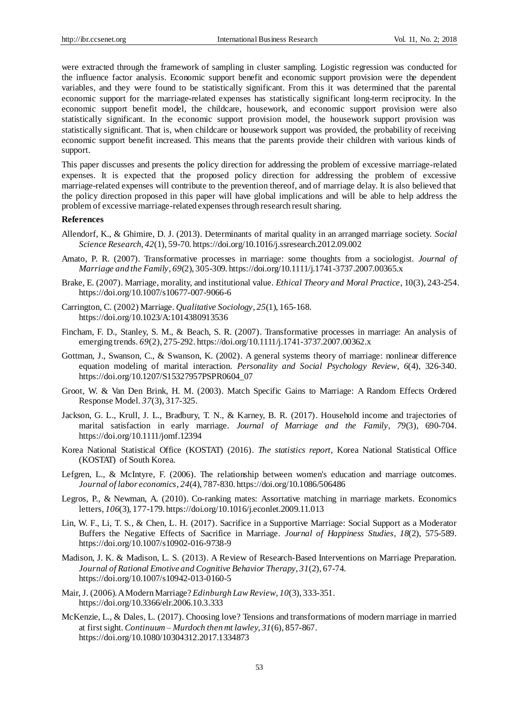were extracted through the framework of sampling in cluster sampling. Logistic regression was conducted for the influence factor analysis. Economic support benefit and economic support provision were the dependent variables, and they were found to be statistically significant. From this it was determined that the parental economic support for the marriage-related expenses has statistically significant long-term reciprocity. In the economic support benefit model, the childcare, housework, and economic support provision were also statistically significant. In the economic support provision model, the housework support provision was statistically significant. That is, when childcare or housework support was provided, the probability of receiving economic support benefit increased. This means that the parents provide their children with various kinds of support.

This paper discusses and presents the policy direction for addressing the problem of excessive marriage-related expenses. It is expected that the proposed policy direction for addressing the problem of excessive marriage-related expenses will contribute to the prevention thereof, and of marriage delay. It is also believed that the policy direction proposed in this paper will have global implications and will be able to help address the problem of excessive marriage-related expenses through research result sharing.

## **References**

- Allendorf, K., & Ghimire, D. J. (2013). Determinants of marital quality in an arranged marriage society. *Social Science Research*, *42*(1), 59-70. https://doi.org/10.1016/j.ssresearch.2012.09.002
- Amato, P. R. (2007). Transformative processes in marriage: some thoughts from a sociologist. *Journal of Marriage and the Family*, *69*(2), 305-309. https://doi.org/10.1111/j.1741-3737.2007.00365.x
- Brake, E. (2007). Marriage, morality, and institutional value. *Ethical Theory and Moral Practice*, 10(3), 243-254. https://doi.org/10.1007/s10677-007-9066-6
- Carrington, C. (2002) Marriage. *Qualitative Sociology*, *25*(1), 165-168. https://doi.org/10.1023/A:1014380913536
- Fincham, F. D., Stanley, S. M., & Beach, S. R. (2007). Transformative processes in marriage: An analysis of emerging trends. *69*(2), 275-292. https://doi.org/10.1111/j.1741-3737.2007.00362.x
- Gottman, J., Swanson, C., & Swanson, K. (2002). A general systems theory of marriage: nonlinear difference equation modeling of marital interaction. *Personality and Social Psychology Review*, *6*(4), 326-340. https://doi.org/10.1207/S15327957PSPR0604\_07
- Groot, W. & Van Den Brink, H. M. (2003). Match Specific Gains to Marriage: A Random Effects Ordered Response Model. *37*(3), 317-325.
- Jackson, G. L., Krull, J. L., Bradbury, T. N., & Karney, B. R. (2017). Household income and trajectories of marital satisfaction in early marriage. *Journal of Marriage and the Family*, *79*(3), 690-704. https://doi.org/10.1111/jomf.12394
- Korea National Statistical Office (KOSTAT) (2016). *The statistics report*, Korea National Statistical Office (KOSTAT) of South Korea.
- Lefgren, L., & McIntyre, F. (2006). The relationship between women's education and marriage outcomes. *Journal of labor economics*, *24*(4), 787-830. https://doi.org/10.1086/506486
- Legros, P., & Newman, A. (2010). Co-ranking mates: Assortative matching in marriage markets. Economics letters, *106*(3), 177-179. https://doi.org/10.1016/j.econlet.2009.11.013
- Lin, W. F., Li, T. S., & Chen, L. H. (2017). Sacrifice in a Supportive Marriage: Social Support as a Moderator Buffers the Negative Effects of Sacrifice in Marriage. *Journal of Happiness Studies*, *18*(2), 575-589. https://doi.org/10.1007/s10902-016-9738-9
- Madison, J. K. & Madison, L. S. (2013). A Review of Research-Based Interventions on Marriage Preparation. *Journal of Rational Emotive and Cognitive Behavior Therapy*, *31*(2), 67-74. https://doi.org/10.1007/s10942-013-0160-5
- Mair, J. (2006). A Modern Marriage? *Edinburgh Law Review*, *10*(3), 333-351. https://doi.org/10.3366/elr.2006.10.3.333
- McKenzie, L., & Dales, L. (2017). Choosing love? Tensions and transformations of modern marriage in married at first sight. *Continuum – Murdoch then mt lawley*, *31*(6), 857-867. https://doi.org/10.1080/10304312.2017.1334873